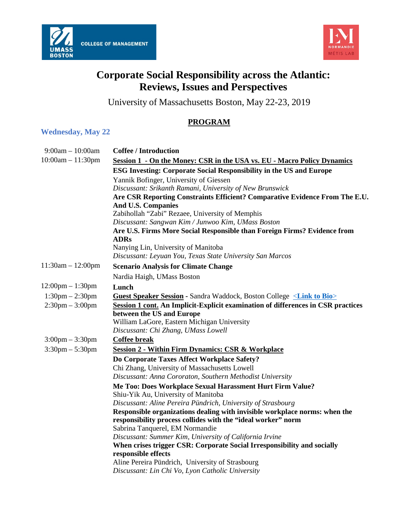



## **Corporate Social Responsibility across the Atlantic: Reviews, Issues and Perspectives**

University of Massachusetts Boston, May 22-23, 2019

## **PROGRAM**

## **Wednesday, May 22**

| $9:00am - 10:00am$                 | <b>Coffee / Introduction</b>                                                                                                               |
|------------------------------------|--------------------------------------------------------------------------------------------------------------------------------------------|
| $10:00am - 11:30pm$                | Session 1 - On the Money: CSR in the USA vs. EU - Macro Policy Dynamics                                                                    |
|                                    | <b>ESG Investing: Corporate Social Responsibility in the US and Europe</b>                                                                 |
|                                    | Yannik Bofinger, University of Giessen                                                                                                     |
|                                    | Discussant: Srikanth Ramani, University of New Brunswick                                                                                   |
|                                    | Are CSR Reporting Constraints Efficient? Comparative Evidence From The E.U.                                                                |
|                                    | And U.S. Companies                                                                                                                         |
|                                    | Zabihollah "Zabi" Rezaee, University of Memphis                                                                                            |
|                                    | Discussant: Sangwan Kim / Junwoo Kim, UMass Boston                                                                                         |
|                                    | Are U.S. Firms More Social Responsible than Foreign Firms? Evidence from<br><b>ADRs</b>                                                    |
|                                    | Nanying Lin, University of Manitoba                                                                                                        |
|                                    | Discussant: Leyuan You, Texas State University San Marcos                                                                                  |
| $11:30am - 12:00pm$                | <b>Scenario Analysis for Climate Change</b>                                                                                                |
|                                    | Nardia Haigh, UMass Boston                                                                                                                 |
| $12:00 \text{pm} - 1:30 \text{pm}$ | Lunch                                                                                                                                      |
| $1:30$ pm $- 2:30$ pm              | <b>Guest Speaker Session - Sandra Waddock, Boston College <link bio="" to=""/></b>                                                         |
| $2:30$ pm $-3:00$ pm               | Session 1 cont. An Implicit-Explicit examination of differences in CSR practices                                                           |
|                                    | between the US and Europe                                                                                                                  |
|                                    | William LaGore, Eastern Michigan University                                                                                                |
|                                    | Discussant: Chi Zhang, UMass Lowell                                                                                                        |
| $3:00 \text{pm} - 3:30 \text{pm}$  | <b>Coffee break</b>                                                                                                                        |
| $3:30$ pm $-5:30$ pm               | <b>Session 2 - Within Firm Dynamics: CSR &amp; Workplace</b>                                                                               |
|                                    | Do Corporate Taxes Affect Workplace Safety?                                                                                                |
|                                    | Chi Zhang, University of Massachusetts Lowell                                                                                              |
|                                    | Discussant: Anna Cororaton, Southern Methodist University                                                                                  |
|                                    | Me Too: Does Workplace Sexual Harassment Hurt Firm Value?                                                                                  |
|                                    | Shiu-Yik Au, University of Manitoba                                                                                                        |
|                                    | Discussant: Aline Pereira Pündrich, University of Strasbourg                                                                               |
|                                    | Responsible organizations dealing with invisible workplace norms: when the<br>responsibility process collides with the "ideal worker" norm |
|                                    | Sabrina Tanquerel, EM Normandie                                                                                                            |
|                                    | Discussant: Summer Kim, University of California Irvine                                                                                    |
|                                    | When crises trigger CSR: Corporate Social Irresponsibility and socially                                                                    |
|                                    | responsible effects                                                                                                                        |
|                                    | Aline Pereira Pündrich, University of Strasbourg                                                                                           |
|                                    | Discussant: Lin Chi Vo, Lyon Catholic University                                                                                           |